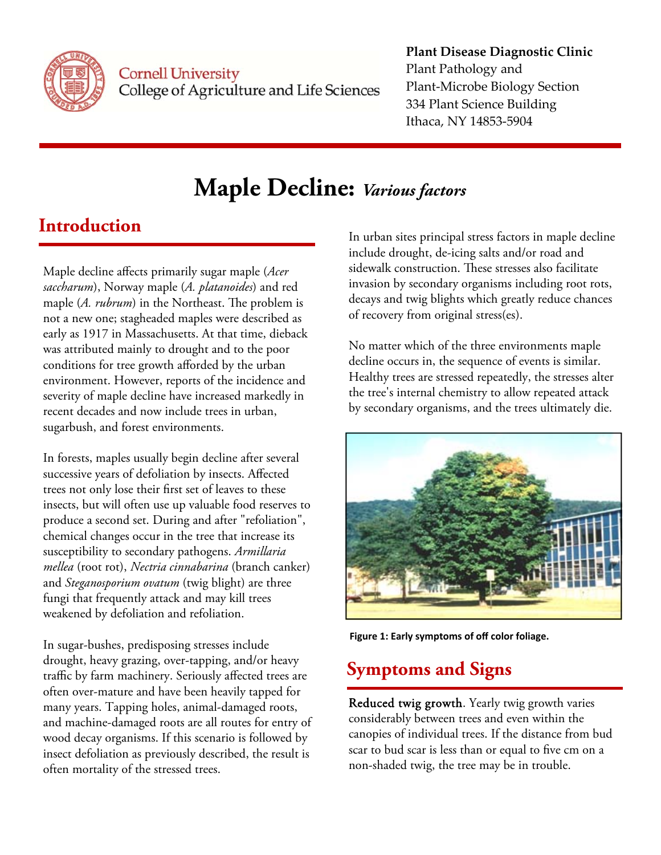

**Cornell University** College of Agriculture and Life Sciences

## **Plant Disease Diagnostic Clinic** Plant Pathology and Plant‐Microbe Biology Section 334 Plant Science Building Ithaca, NY 14853‐5904

# **Maple Decline:** *Various factors*

## **Introduction**

Maple decline affects primarily sugar maple (*Acer saccharum*), Norway maple (*A. platanoides*) and red maple (*A. rubrum*) in the Northeast. The problem is not a new one; stagheaded maples were described as early as 1917 in Massachusetts. At that time, dieback was attributed mainly to drought and to the poor conditions for tree growth afforded by the urban environment. However, reports of the incidence and severity of maple decline have increased markedly in recent decades and now include trees in urban, sugarbush, and forest environments.

In forests, maples usually begin decline after several successive years of defoliation by insects. Affected trees not only lose their first set of leaves to these insects, but will often use up valuable food reserves to produce a second set. During and after "refoliation", chemical changes occur in the tree that increase its susceptibility to secondary pathogens. *Armillaria mellea* (root rot), *Nectria cinnabarina* (branch canker) and *Steganosporium ovatum* (twig blight) are three fungi that frequently attack and may kill trees weakened by defoliation and refoliation.

In sugar-bushes, predisposing stresses include drought, heavy grazing, over-tapping, and/or heavy traffic by farm machinery. Seriously affected trees are often over-mature and have been heavily tapped for many years. Tapping holes, animal-damaged roots, and machine-damaged roots are all routes for entry of wood decay organisms. If this scenario is followed by insect defoliation as previously described, the result is often mortality of the stressed trees.

In urban sites principal stress factors in maple decline include drought, de-icing salts and/or road and sidewalk construction. These stresses also facilitate invasion by secondary organisms including root rots, decays and twig blights which greatly reduce chances of recovery from original stress(es).

No matter which of the three environments maple decline occurs in, the sequence of events is similar. Healthy trees are stressed repeatedly, the stresses alter the tree's internal chemistry to allow repeated attack by secondary organisms, and the trees ultimately die.



**Figure 1: Early symptoms of off color foliage.**

## **Symptoms and Signs**

Reduced twig growth. Yearly twig growth varies considerably between trees and even within the canopies of individual trees. If the distance from bud scar to bud scar is less than or equal to five cm on a non-shaded twig, the tree may be in trouble.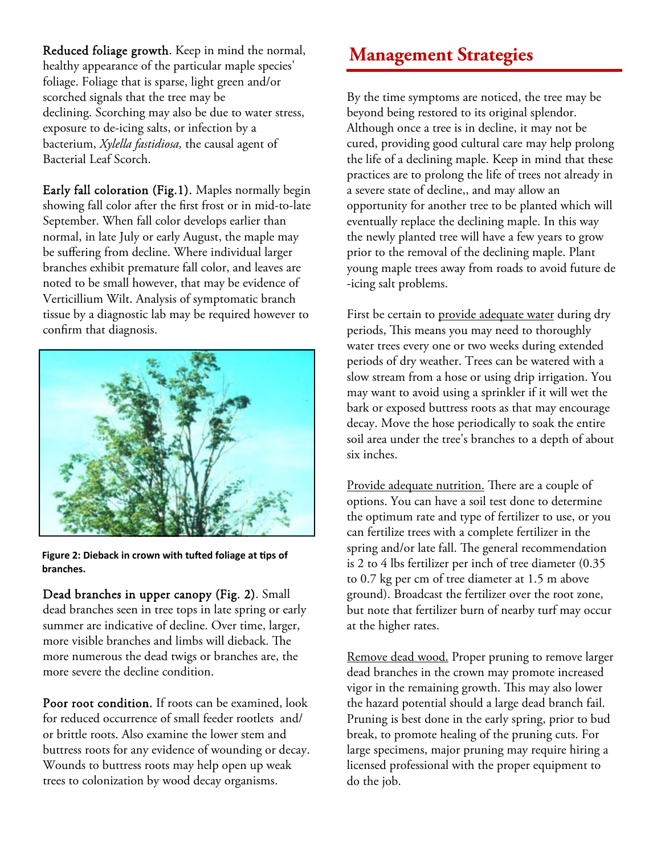Reduced foliage growth. Keep in mind the normal, **Management Strategies** healthy appearance of the particular maple species' foliage. Foliage that is sparse, light green and/or scorched signals that the tree may be declining. Scorching may also be due to water stress, exposure to de-icing salts, or infection by a bacterium, *Xylella fastidiosa,* the causal agent of Bacterial Leaf Scorch.

Early fall coloration (Fig.1). Maples normally begin showing fall color after the first frost or in mid-to-late September. When fall color develops earlier than normal, in late July or early August, the maple may be suffering from decline. Where individual larger branches exhibit premature fall color, and leaves are noted to be small however, that may be evidence of Verticillium Wilt. Analysis of symptomatic branch tissue by a diagnostic lab may be required however to confirm that diagnosis.



**figure** 2: Dieback in crown with tufted foliage at tips of **branches.**

Dead branches in upper canopy (Fig. 2). Small dead branches seen in tree tops in late spring or early summer are indicative of decline. Over time, larger, more visible branches and limbs will dieback. The more numerous the dead twigs or branches are, the more severe the decline condition.

Poor root condition. If roots can be examined, look for reduced occurrence of small feeder rootlets and/ or brittle roots. Also examine the lower stem and buttress roots for any evidence of wounding or decay. Wounds to buttress roots may help open up weak trees to colonization by wood decay organisms.

By the time symptoms are noticed, the tree may be beyond being restored to its original splendor. Although once a tree is in decline, it may not be cured, providing good cultural care may help prolong the life of a declining maple. Keep in mind that these practices are to prolong the life of trees not already in a severe state of decline,, and may allow an opportunity for another tree to be planted which will eventually replace the declining maple. In this way the newly planted tree will have a few years to grow prior to the removal of the declining maple. Plant young maple trees away from roads to avoid future de -icing salt problems.

First be certain to provide adequate water during dry periods, This means you may need to thoroughly water trees every one or two weeks during extended periods of dry weather. Trees can be watered with a slow stream from a hose or using drip irrigation. You may want to avoid using a sprinkler if it will wet the bark or exposed buttress roots as that may encourage decay. Move the hose periodically to soak the entire soil area under the tree's branches to a depth of about six inches.

Provide adequate nutrition. There are a couple of options. You can have a soil test done to determine the optimum rate and type of fertilizer to use, or you can fertilize trees with a complete fertilizer in the spring and/or late fall. The general recommendation is 2 to 4 lbs fertilizer per inch of tree diameter (0.35 to 0.7 kg per cm of tree diameter at 1.5 m above ground). Broadcast the fertilizer over the root zone, but note that fertilizer burn of nearby turf may occur at the higher rates.

Remove dead wood. Proper pruning to remove larger dead branches in the crown may promote increased vigor in the remaining growth. This may also lower the hazard potential should a large dead branch fail. Pruning is best done in the early spring, prior to bud break, to promote healing of the pruning cuts. For large specimens, major pruning may require hiring a licensed professional with the proper equipment to do the job.